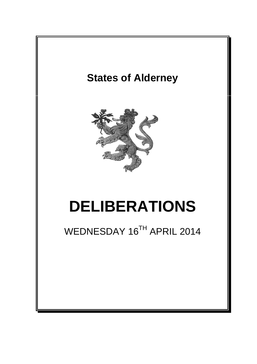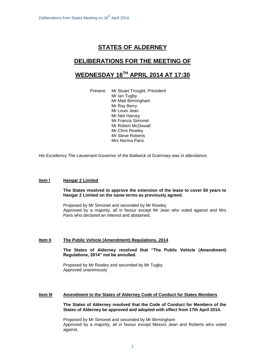# **STATES OF ALDERNEY**

## **DELIBERATIONS FOR THE MEETING OF**

# **WEDNESDAY 16 TH APRIL 2014 AT 17:30**

Present: Mr Stuart Trought, President Mr Ian Tugby Mr Matt Birmingham Mr Ray Berry Mr Louis Jean Mr Neil Harvey Mr Francis Simonet Mr Robert McDowall Mr Chris Rowley Mr Steve Roberts Mrs Norma Paris

His Excellency The Lieutenant-Governor of the Bailiwick of Guernsey was in attendance.

### **Item l Hangar 2 Limited**

#### **The States resolved to approve the extension of the lease to cover 50 years to Hangar 2 Limited on the same terms as previously agreed.**

Proposed by Mr Simonet and seconded by Mr Rowley Approved by a majority, all in favour except Mr Jean who voted against and Mrs Paris who declared an interest and abstained.

#### **Item II The Public Vehicle (Amendment) Regulations, 2014**

**The States of Alderney resolved that "The Public Vehicle (Amendment) Regulations, 2014" not be annulled.** 

Proposed by Mr Rowley and seconded by Mr Tugby Approved unanimously

## **Item III Amendment to the States of Alderney Code of Conduct for States Members**

**The States of Alderney resolved that the Code of Conduct for Members of the States of Alderney be approved and adopted with effect from 17th April 2014.**

Proposed by Mr Simonet and seconded by Mr Birmingham Approved by a majority, all in favour except Messrs Jean and Roberts who voted against.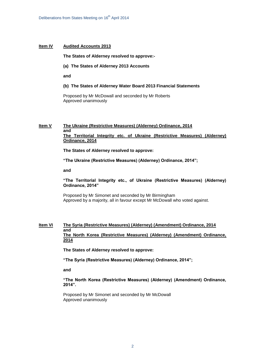## **Item IV Audited Accounts 2013**

#### **The States of Alderney resolved to approve:-**

**(a) The States of Alderney 2013 Accounts**

**and**

#### **(b) The States of Alderney Water Board 2013 Financial Statements**

Proposed by Mr McDowall and seconded by Mr Roberts Approved unanimously

#### **Item V The Ukraine (Restrictive Measures) (Alderney) Ordinance, 2014 and The Territorial Integrity etc. of Ukraine (Restrictive Measures) (Alderney) Ordinance, 2014**

**The States of Alderney resolved to approve:**

**"The Ukraine (Restrictive Measures) (Alderney) Ordinance, 2014";** 

**and** 

## **"The Territorial Integrity etc., of Ukraine (Restrictive Measures) (Alderney) Ordinance, 2014"**

Proposed by Mr Simonet and seconded by Mr Birmingham Approved by a majority, all in favour except Mr McDowall who voted against.

#### **Item VI The Syria (Restrictive Measures) (Alderney) (Amendment) Ordinance, 2014 and The North Korea (Restrictive Measures) (Alderney) (Amendment) Ordinance, 2014**

**The States of Alderney resolved to approve:**

**"The Syria (Restrictive Measures) (Alderney) Ordinance, 2014";** 

**and**

## **"The North Korea (Restrictive Measures) (Alderney) (Amendment) Ordinance, 2014".**

Proposed by Mr Simonet and seconded by Mr McDowall Approved unanimously